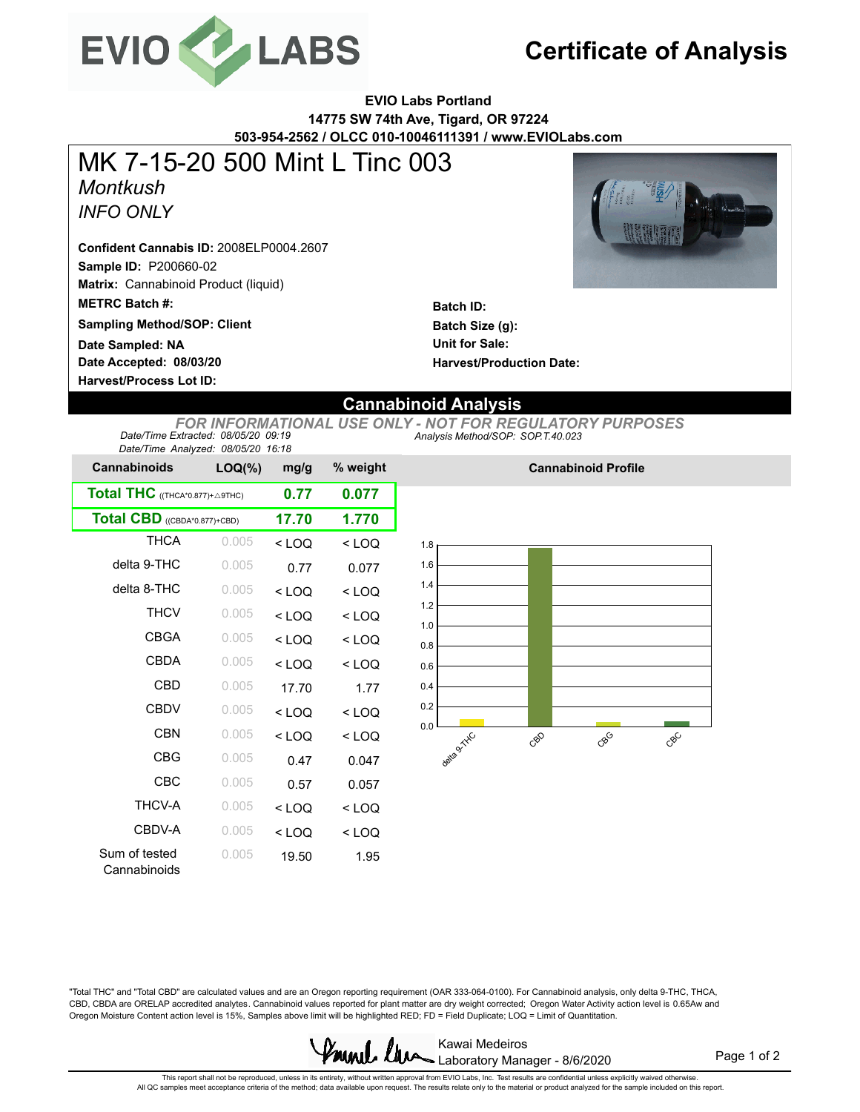

# **Certificate of Analysis**

**EVIO Labs Portland 14775 SW 74th Ave, Tigard, OR 97224 503-954-2562 / OLCC 010-10046111391 / www.EVIOLabs.com**

## *Montkush INFO ONLY* MK 7-15-20 500 Mint L Tinc 003

**Sample ID:** P200660-02 **Matrix:** Cannabinoid Product (liquid) **METRC Batch #: Confident Cannabis ID:** 2008ELP0004.2607

**Sampling Method/SOP: Client**

**Date Accepted: 08/03/20 Date Sampled: NA**

**Harvest/Process Lot ID:** 



**Batch ID: Batch Size (g): Unit for Sale: Harvest/Production Date:** 

### **Cannabinoid Analysis**

*Analysis Method/SOP: SOP.T.40.023 FOR INFORMATIONAL USE ONLY - NOT FOR REGULATORY PURPOSES Date/Time Extracted: 08/05/20 09:19 Date/Time Analyzed: 08/05/20 16:18*

| Date/Time Analyzed. 06/03/20 10.16 |           |         |          |
|------------------------------------|-----------|---------|----------|
| <b>Cannabinoids</b>                | $LOQ(\%)$ | mg/g    | % weight |
| Total THC ((THCA*0.877)+ A9THC)    | 0.77      | 0.077   |          |
| Total CBD ((CBDA*0.877)+CBD)       | 17.70     | 1.770   |          |
| <b>THCA</b>                        | 0.005     | $<$ LOO | $<$ LOO  |
| delta 9-THC                        | 0.005     | 0.77    | 0.077    |
| delta 8-THC                        | 0.005     | $<$ LOO | $<$ LOO  |
| <b>THCV</b>                        | 0.005     | $<$ LOQ | $<$ LOO  |
| CBGA                               | 0.005     | < 100   | $<$ LOQ  |
| CBDA                               | 0.005     | < 1 OQ  | $<$ LOO  |
| CBD                                | 0.005     | 17.70   | 1.77     |
| <b>CBDV</b>                        | 0.005     | $<$ LOQ | $<$ LOQ  |
| <b>CBN</b>                         | 0.005     | $<$ LOQ | $<$ LOQ  |
| <b>CBG</b>                         | 0.005     | 0.47    | 0.047    |
| CBC                                | 0.005     | 0.57    | 0.057    |
| THCV-A                             | 0.005     | $<$ LOO | $<$ LOO  |
| CBDV-A                             | 0.005     | $<$ LOO | $<$ LOO  |
| Sum of tested<br>Cannabinoids      | 0.005     | 19.50   | 1.95     |



**Cannabinoid Profile**

"Total THC" and "Total CBD" are calculated values and are an Oregon reporting requirement (OAR 333-064-0100). For Cannabinoid analysis, only delta 9-THC, THCA, CBD, CBDA are ORELAP accredited analytes. Cannabinoid values reported for plant matter are dry weight corrected; Oregon Water Activity action level is 0.65Aw and Oregon Moisture Content action level is 15%, Samples above limit will be highlighted RED; FD = Field Duplicate; LOQ = Limit of Quantitation.



Page 1 of 2

This repot shall not be reproduced, unless in its entirety, without written approval from EVIO Labs, Inc. Test results are confidential unless explicitly waived otherwise.<br>All QC samples meet acceptance criteria of the met